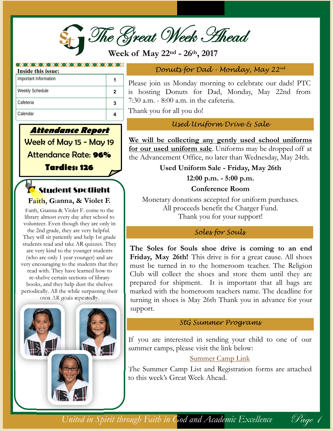The Great Week *Thead* 

**Week of May 22nd - 26th, 2017** 

| Inside this issue:     |              |
|------------------------|--------------|
| Important Information  |              |
| <b>Weekly Schedule</b> | $\mathbf{2}$ |
| Cafeteria              | 3            |
| Calendar               |              |

### **Attendance Report**

Week of May 15 - May 19

Attendance Rate: **96%**

**Tardies: 126**

# Student Spotlight

**Faith, Gianna, & Violet F.** 

Faith, Gianna & Violet F. come to the library almost every day after school to volunteer. Even though they are only in the 2nd grade, they are very helpful. They will sit patiently and help 1st grade students read and take AR quizzes. They are very kind to the younger students (who are only 1 year younger) and are very encouraging to the students that they read with. They have learned how to re-shelve certain sections of library books, and they help dust the shelves periodically. All the while surpassing their own AR goals repeatedly.



*Donuts for Dad - Monday, May 22nd*

Please join us Monday morning to celebrate our dads! PTC is hosting Donuts for Dad, Monday, May 22nd from 7:30 a.m. - 8:00 a.m. in the cafeteria.

Thank you for all you do!

*Used Uniform Drive & Sale* 

**We will be collecting any gently used school uniforms for our used uniform sale**. Uniforms may be dropped off at the Advancement Office, no later than Wednesday, May 24th.

**Used Uniform Sale - Friday, May 26th** 

**12:00 p.m. - 5:00 p.m.** 

**Conference Room** 

Monetary donations accepted for uniform purchases. All proceeds benefit the Charger Fund. Thank you for your support!

### *Soles for Souls*

**The Soles for Souls shoe drive is coming to an end**  Friday, May 26th! This drive is for a great cause. All shoes must be turned in to the homeroom teacher. The Religion Club will collect the shoes and store them until they are prepared for shipment. It is important that all bags are marked with the homeroom teachers name. The deadline for turning in shoes is May 26th Thank you in advance for your support.

#### *StG Summer Programs*

If you are interested in sending your child to one of our summer camps, please visit the link below:

#### Summer Camp Link

The Summer Camp List and Registration forms are attached to this week's Great Week Ahead.

Page

*United in Spirit through Faith in God and Academic Excellence*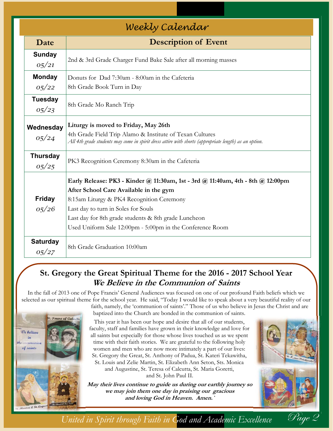| Weekly Calendar           |                                                                                                                                                                                                                                                                                                                                    |  |  |  |  |  |  |
|---------------------------|------------------------------------------------------------------------------------------------------------------------------------------------------------------------------------------------------------------------------------------------------------------------------------------------------------------------------------|--|--|--|--|--|--|
| Date                      | <b>Description of Event</b>                                                                                                                                                                                                                                                                                                        |  |  |  |  |  |  |
| <b>Sunday</b>             |                                                                                                                                                                                                                                                                                                                                    |  |  |  |  |  |  |
| 05/21                     | 2nd & 3rd Grade Charger Fund Bake Sale after all morning masses                                                                                                                                                                                                                                                                    |  |  |  |  |  |  |
| <b>Monday</b>             | Donuts for Dad 7:30am - 8:00am in the Cafeteria                                                                                                                                                                                                                                                                                    |  |  |  |  |  |  |
| 05/22                     | 8th Grade Book Turn in Day                                                                                                                                                                                                                                                                                                         |  |  |  |  |  |  |
| <b>Tuesday</b>            | 8th Grade Mo Ranch Trip                                                                                                                                                                                                                                                                                                            |  |  |  |  |  |  |
| 05/23                     |                                                                                                                                                                                                                                                                                                                                    |  |  |  |  |  |  |
| Wednesday<br>0.5/24       | Liturgy is moved to Friday, May 26th<br>4th Grade Field Trip Alamo & Institute of Texan Cultures<br>All 4th grade students may come in spirit dress attire with shorts (appropriate length) as an option.                                                                                                                          |  |  |  |  |  |  |
| <b>Thursday</b><br>05/25  | PK3 Recognition Ceremony 8:30am in the Cafeteria                                                                                                                                                                                                                                                                                   |  |  |  |  |  |  |
| <b>Friday</b><br>05/26    | Early Release: PK3 - Kinder @ 11:30am, 1st - 3rd @ 11:40am, 4th - 8th @ 12:00pm<br>After School Care Available in the gym<br>8:15am Liturgy & PK4 Recognition Ceremony<br>Last day to turn in Soles for Souls<br>Last day for 8th grade students & 8th grade Luncheon<br>Used Uniform Sale 12:00pm - 5:00pm in the Conference Room |  |  |  |  |  |  |
| <b>Saturday</b><br>0.5/27 | 8th Grade Graduation 10:00am                                                                                                                                                                                                                                                                                                       |  |  |  |  |  |  |

## **St. Gregory the Great Spiritual Theme for the 2016 - 2017 School Year We Believe in the Communion of Saints**

In the fall of 2013 one of Pope Francis' General Audiences was focused on one of our profound Faith beliefs which we selected as our spiritual theme for the school year. He said, "Today I would like to speak about a very beautiful reality of our



faith, namely, the 'communion of saints'." Those of us who believe in Jesus the Christ and are baptized into the Church are bonded in the communion of saints.

This year it has been our hope and desire that all of our students, faculty, staff and families have grown in their knowledge and love for all saints but especially for those whose lives touched us as we spent time with their faith stories. We are grateful to the following holy women and men who are now more intimately a part of our lives: St. Gregory the Great, St. Anthony of Padua, St. Kateri Tekawitha, St. Louis and Zelie Martin, St. Elizabeth Ann Seton, Sts. Monica and Augustine, St. Teresa of Calcutta, St. Maria Goretti, and St. John Paul II.

**May their lives continue to guide us during our earthly journey so we may join them one day in praising our gracious**  and loving God in Heaven. Amen.



*United in Spirit through Faith in God and Academic Excellence Page 2*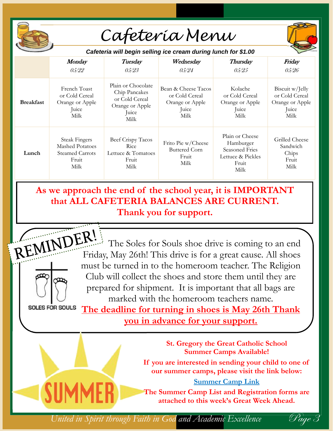

# *Cafeteria Menu*



*Cafeteria will begin selling ice cream during lunch for \$1.00* 

|                  | <b>Monday</b><br>05/22                                                                    | Tuesday<br>05/23                                                                          | Wednesday<br>05/24                                                        | <b>Thursday</b><br>05/25                                                             | Friday<br>05/26                                                       |
|------------------|-------------------------------------------------------------------------------------------|-------------------------------------------------------------------------------------------|---------------------------------------------------------------------------|--------------------------------------------------------------------------------------|-----------------------------------------------------------------------|
| <b>Breakfast</b> | French Toast<br>or Cold Cereal<br>Orange or Apple<br>Juice<br>Milk                        | Plain or Chocolate<br>Chip Pancakes<br>or Cold Cereal<br>Orange or Apple<br>Juice<br>Milk | Bean & Cheese Tacos<br>or Cold Cereal<br>Orange or Apple<br>Juice<br>Milk | Kolache<br>or Cold Cereal<br>Orange or Apple<br>Juice<br>Milk                        | Biscuit w/Jelly<br>or Cold Cereal<br>Orange or Apple<br>Juice<br>Milk |
| Lunch            | <b>Steak Fingers</b><br><b>Mashed Potatoes</b><br><b>Steamed Carrots</b><br>Fruit<br>Milk | Beef Crispy Tacos<br>Rice<br>Lettuce & Tomatoes<br>Fruit<br>Milk                          | Frito Pie w/Cheese<br><b>Buttered Corn</b><br>Fruit<br>Milk               | Plain or Cheese<br>Hamburger<br>Seasoned Fries<br>Lettuce & Pickles<br>Fruit<br>Milk | Grilled Cheese<br>Sandwich<br>Chips<br>Fruit<br>Milk                  |

**As we approach the end of the school year, it is IMPORTANT that ALL CAFETERIA BALANCES ARE CURRENT. Thank you for support.** 

REMINDER! The Soles for Souls shoe drive is coming to an end Friday, May 26th! This drive is for a great cause. All shoes must be turned in to the homeroom teacher. The Religion Club will collect the shoes and store them until they are prepared for shipment. It is important that all bags are marked with the homeroom teachers name.

**SOLES FOR SOULS** 

**The deadline for turning in shoes is May 26th Thank you in advance for your support.**

> **St. Gregory the Great Catholic School Summer Camps Available!**

**If you are interested in sending your child to one of our summer camps, please visit the link below:** 

**Summer Camp Link** 

**The Summer Camp List and Registration forms are attached to this week's Great Week Ahead.** 

United in Spirit through Faith in God and Academic Excellence Fage &